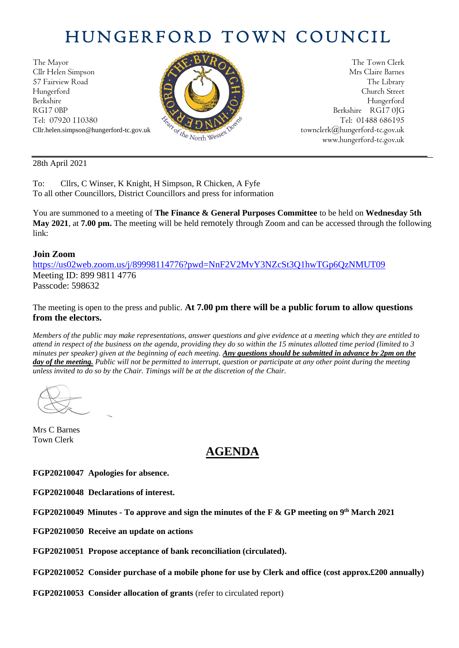# HUNGERFORD TOWN COUNCIL

The Mayor The Town Clerk Cllr Helen Simpson Mrs Claire Barnes 57 Fairview Road The Library Road The Library Hungerford Church Street Berkshire Hungerford RG17 0BP Berkshire RG17 0JG Tel: 07920 110380  $\frac{1}{2} \sqrt{2} \sqrt{2} \sqrt{N^2}$  Tel: 01488 686195



Cllr.helen.simpson@hungerford-tc.gov.uk [townclerk@hungerford-tc.gov.uk](mailto:townclerk@hungerford-tc.gov.uk) townclerk@hungerford-tc.gov.uk www.hungerford-tc.gov.uk www.hungerford-tc.gov.uk

28th April 2021

To: Cllrs, C Winser, K Knight, H Simpson, R Chicken, A Fyfe To all other Councillors, District Councillors and press for information

You are summoned to a meeting of **The Finance & General Purposes Committee** to be held on **Wednesday 5th May 2021**, at **7.00 pm.** The meeting will be held remotely through Zoom and can be accessed through the following link:

### **Join Zoom**

<https://us02web.zoom.us/j/89998114776?pwd=NnF2V2MvY3NZcSt3Q1hwTGp6QzNMUT09> Meeting ID: 899 9811 4776 Passcode: 598632

The meeting is open to the press and public. **At 7.00 pm there will be a public forum to allow questions from the electors.** 

*Members of the public may make representations, answer questions and give evidence at a meeting which they are entitled to attend in respect of the business on the agenda, providing they do so within the 15 minutes allotted time period (limited to 3 minutes per speaker) given at the beginning of each meeting. Any questions should be submitted in advance by 2pm on the day of the meeting. Public will not be permitted to interrupt, question or participate at any other point during the meeting unless invited to do so by the Chair. Timings will be at the discretion of the Chair.* 

Mrs C Barnes Town Clerk

## **AGENDA**

**FGP20210047 Apologies for absence.**

**FGP20210048 Declarations of interest.**

**FGP20210049 Minutes - To approve and sign the minutes of the F & GP meeting on 9 th March 2021**

**FGP20210050 Receive an update on actions**

**FGP20210051 Propose acceptance of bank reconciliation (circulated).**

**FGP20210052 Consider purchase of a mobile phone for use by Clerk and office (cost approx.£200 annually)**

**FGP20210053 Consider allocation of grants** (refer to circulated report)